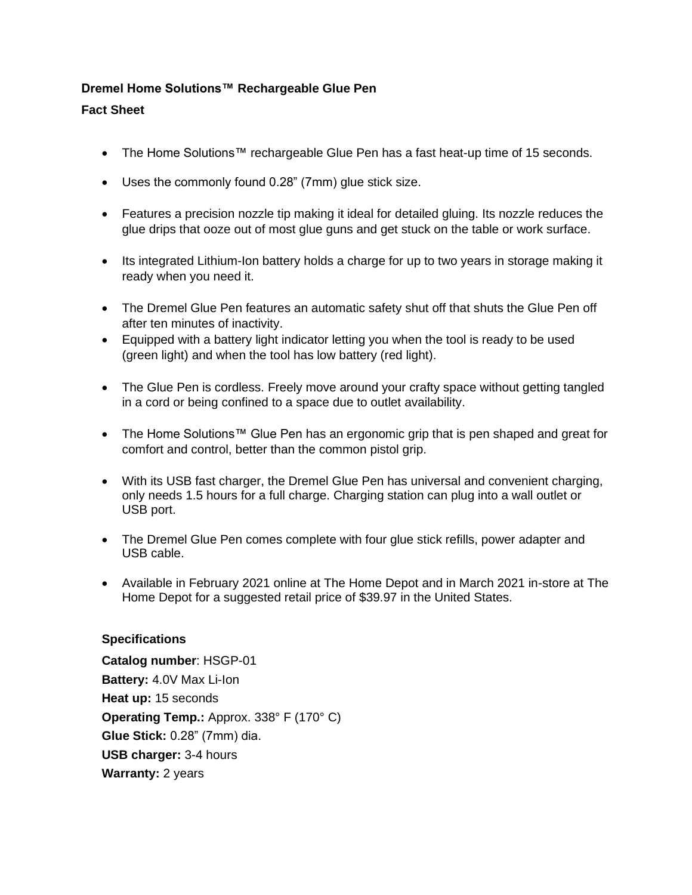### **Dremel Home Solutions™ Rechargeable Glue Pen**

## **Fact Sheet**

- The Home Solutions™ rechargeable Glue Pen has a fast heat-up time of 15 seconds.
- Uses the commonly found 0.28" (7mm) glue stick size.
- Features a precision nozzle tip making it ideal for detailed gluing. Its nozzle reduces the glue drips that ooze out of most glue guns and get stuck on the table or work surface.
- Its integrated Lithium-Ion battery holds a charge for up to two years in storage making it ready when you need it.
- The Dremel Glue Pen features an automatic safety shut off that shuts the Glue Pen off after ten minutes of inactivity.
- Equipped with a battery light indicator letting you when the tool is ready to be used (green light) and when the tool has low battery (red light).
- The Glue Pen is cordless. Freely move around your crafty space without getting tangled in a cord or being confined to a space due to outlet availability.
- The Home Solutions™ Glue Pen has an ergonomic grip that is pen shaped and great for comfort and control, better than the common pistol grip.
- With its USB fast charger, the Dremel Glue Pen has universal and convenient charging, only needs 1.5 hours for a full charge. Charging station can plug into a wall outlet or USB port.
- The Dremel Glue Pen comes complete with four glue stick refills, power adapter and USB cable.
- Available in February 2021 online at The Home Depot and in March 2021 in-store at The Home Depot for a suggested retail price of \$39.97 in the United States.

#### **Specifications**

**Catalog number**: HSGP-01 **Battery:** 4.0V Max Li-Ion **Heat up:** 15 seconds **Operating Temp.:** Approx. 338° F (170° C) **Glue Stick:** 0.28" (7mm) dia. **USB charger:** 3-4 hours **Warranty:** 2 years